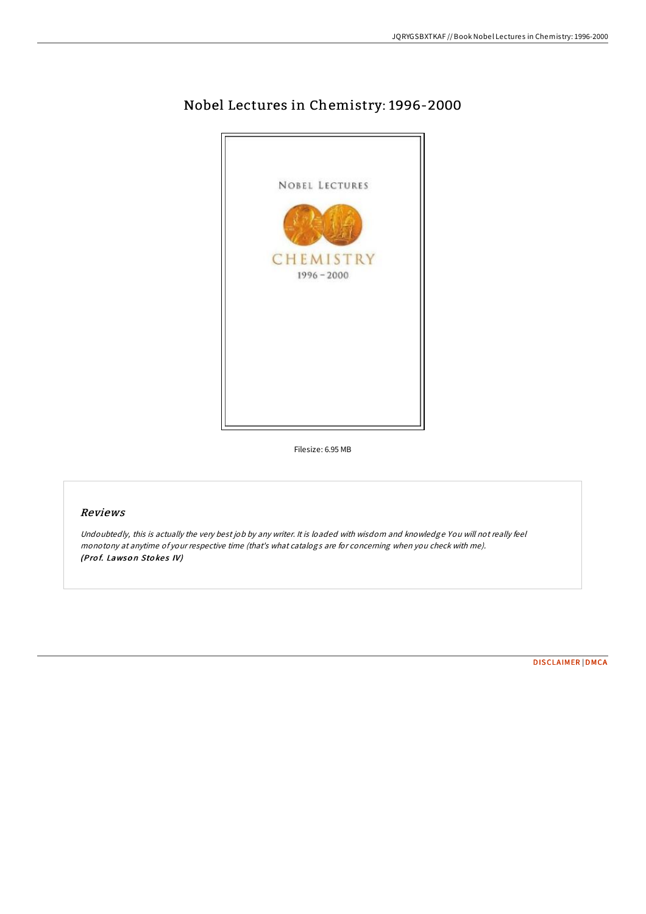

## Nobel Lectures in Chemistry: 1996-2000

Filesize: 6.95 MB

## Reviews

Undoubtedly, this is actually the very best job by any writer. It is loaded with wisdom and knowledge You will not really feel monotony at anytime of your respective time (that's what catalogs are for concerning when you check with me). (Prof. Lawson Stokes IV)

[DISCLAIMER](http://almighty24.tech/disclaimer.html) | [DMCA](http://almighty24.tech/dmca.html)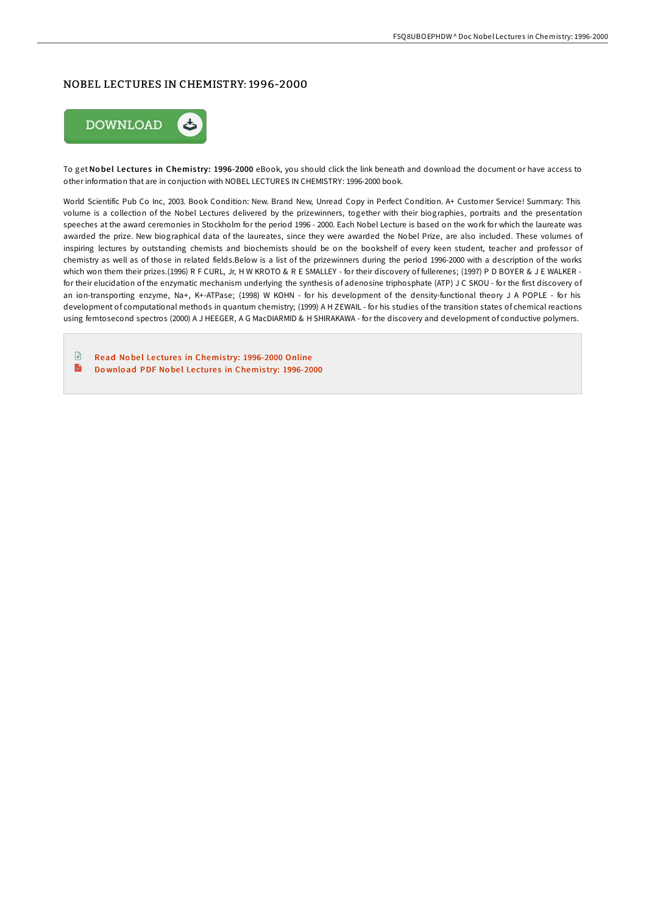## NOBEL LECTURES IN CHEMISTRY: 1996-2000



To get Nobel Lectures in Chemistry: 1996-2000 eBook, you should click the link beneath and download the document or have access to other information that are in conjuction with NOBEL LECTURES IN CHEMISTRY: 1996-2000 book.

World Scientific Pub Co Inc, 2003. Book Condition: New. Brand New, Unread Copy in Perfect Condition. A+ Customer Service! Summary: This volume is a collection of the Nobel Lectures delivered by the prizewinners, together with their biographies, portraits and the presentation speeches at the award ceremonies in Stockholm for the period 1996 - 2000. Each Nobel Lecture is based on the work for which the laureate was awarded the prize. New biographical data of the laureates, since they were awarded the Nobel Prize, are also included. These volumes of inspiring lectures by outstanding chemists and biochemists should be on the bookshelf of every keen student, teacher and professor of chemistry as well as of those in related fields.Below is a list of the prizewinners during the period 1996-2000 with a description of the works which won them their prizes.(1996) R F CURL, Jr, H W KROTO & R E SMALLEY - for their discovery of fullerenes: (1997) P D BOYER & J E WALKER for their elucidation of the enzymatic mechanism underlying the synthesis of adenosine triphosphate (ATP) J C SKOU - for the first discovery of an ion-transporting enzyme, Na+, K+-ATPase; (1998) W KOHN - for his development of the density-functional theory J A POPLE - for his development of computational methods in quantum chemistry; (1999) A H ZEWAIL - for his studies of the transition states of chemical reactions using femtosecond spectros (2000) A J HEEGER, A G MacDIARMID & H SHIRAKAWA - for the discovery and development of conductive polymers.

 $\mathbb{R}$ Read Nobel Lectures in Chemistry: [1996-2000](http://almighty24.tech/nobel-lectures-in-chemistry-1996-2000.html) Online  $\mathbf{m}$ Do wnload PDF No bel Lectures in Chemistry: [1996-2000](http://almighty24.tech/nobel-lectures-in-chemistry-1996-2000.html)